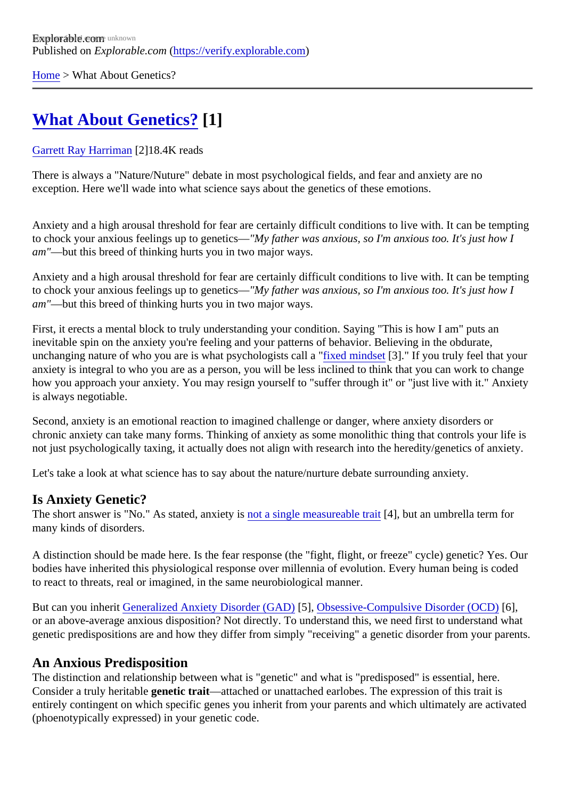[Home](https://verify.explorable.com/)> What About Genetics?

# [What About Genetics?](https://verify.explorable.com/e/what-about-genetics)[1]

#### [Garrett Ray Harrima](https://verify.explorable.com/users/grharriman)<sup>[2]</sup>18.4K reads

There is always a "Nature/Nuture" debate in most psychological fields, and fear and anxiety are no exception. Here we'll wade into what science says about the genetics of these emotions.

Anxiety and a high arousal threshold for fear are certainly difficult conditions to live with. It can be tempting to chock your anxious feelings up to genetics **Ay** father was anxious, so I'm anxious too. It's just how I am"—but this breed of thinking hurts you in two major ways.

Anxiety and a high arousal threshold for fear are certainly difficult conditions to live with. It can be tempting to chock your anxious feelings up to genetics **Ay** father was anxious, so I'm anxious too. It's just how I am"—but this breed of thinking hurts you in two major ways.

First, it erects a mental block to truly understanding your condition. Saying "This is how I am" puts an inevitable spin on the anxiety you're feeling and your patterns of behavior. Believing in the obdurate, unchanging nature of who you are is what psychologists called "mindset3]." If you truly feel that your anxiety is integral to who you are as a person, you will be less inclined to think that you can work to change how you approach your anxiety. You may resign yourself to "suffer through it" or "just live with it." Anxiety is always negotiable.

Second, anxiety is an emotional reaction to imagined challenge or danger, where anxiety disorders or chronic anxiety can take many forms. Thinking of anxiety as some monolithic thing that controls your life is not just psychologically taxing, it actually does not align with research into the heredity/genetics of anxiety.

Let's take a look at what science has to say about the nature/nurture debate surrounding anxiety.

#### Is Anxiety Genetic?

The short answer is "No." As stated, anxiet was a single measureable trait, but an umbrella term for many kinds of disorders.

A distinction should be made here. Is the fear response (the "fight, flight, or freeze" cycle) genetic? Yes. O bodies have inherited this physiological response over millennia of evolution. Every human being is coded to react to threats, real or imagined, in the same neurobiological manner.

But can you inheriGeneralized Anxiety Disorder (GAD5), [Obsessive-Compulsive Disorder \(OC](https://explorable.com/obsessive-compulsive-disorders)O), or an above-average anxious disposition? Not directly. To understand this, we need first to understand wh genetic predispositions are and how they differ from simply "receiving" a genetic disorder from your parent

### An Anxious Predisposition

The distinction and relationship between what is "genetic" and what is "predisposed" is essential, here. Consider a truly heritable enetic trait—attached or unattached earlobes. The expression of this trait is entirely contingent on which specific genes you inherit from your parents and which ultimately are activate (phoenotypically expressed) in your genetic code.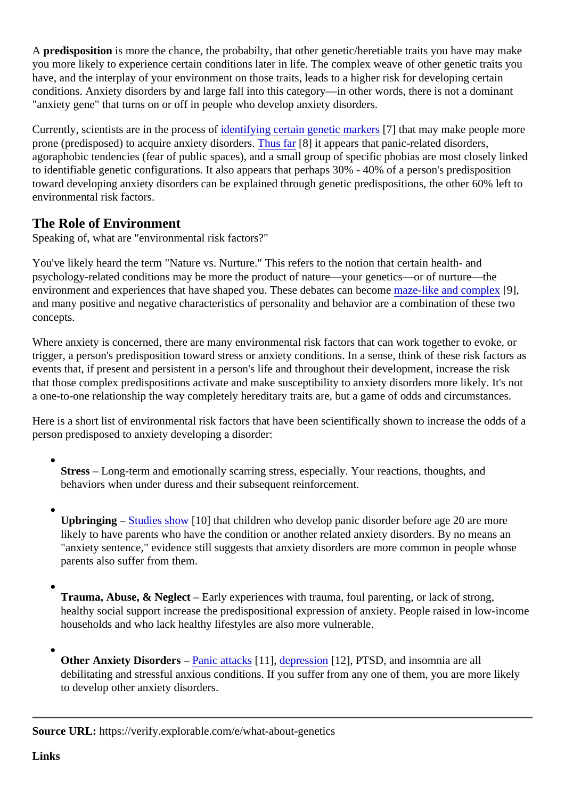A predisposition is more the chance, the probabilty, that other genetic/heretiable traits you have may make you more likely to experience certain conditions later in life. The complex weave of other genetic traits you have, and the interplay of your environment on those traits, leads to a higher risk for developing certain conditions. Anxiety disorders by and large fall into this category—in other words, there is not a dominant "anxiety gene" that turns on or off in people who develop anxiety disorders.

Currently, scientists are in the procesidentifying certain genetic markers that may make people more prone (predisposed) to acquire anxiety disorders far [8] it appears that panic-related disorders, agoraphobic tendencies (fear of public spaces), and a small group of specific phobias are most closely linl to identifiable genetic configurations. It also appears that perhaps 30% - 40% of a person's predisposition toward developing anxiety disorders can be explained through genetic predispositions, the other 60% left to environmental risk factors.

## The Role of Environment

Speaking of, what are "environmental risk factors?"

You've likely heard the term "Nature vs. Nurture." This refers to the notion that certain health- and psychology-related conditions may be more the product of nature—your genetics—or of nurture—the environment and experiences that have shaped you. These debates camber may and completel, and many positive and negative characteristics of personality and behavior are a combination of these two concepts.

Where anxiety is concerned, there are many environmental risk factors that can work together to evoke, or trigger, a person's predisposition toward stress or anxiety conditions. In a sense, think of these risk factors events that, if present and persistent in a person's life and throughout their development, increase the risk that those complex predispositions activate and make susceptibility to anxiety disorders more likely. It's no a one-to-one relationship the way completely hereditary traits are, but a game of odds and circumstances.

Here is a short list of environmental risk factors that have been scientifically shown to increase the odds of person predisposed to anxiety developing a disorder:

- Stress- Long-term and emotionally scarring stress, especially. Your reactions, thoughts, and behaviors when under duress and their subsequent reinforcement.
- Upbringing  $-$  [Studies show](http://www.ncbi.nlm.nih.gov/pmc/articles/PMC3102861/)[10] that children who develop panic disorder before age 20 are more likely to have parents who have the condition or another related anxiety disorders. By no means an "anxiety sentence," evidence still suggests that anxiety disorders are more common in people whose parents also suffer from them.
- 

Trauma, Abuse, & Neglect- Early experiences with trauma, foul parenting, or lack of strong, healthy social support increase the predispositional expression of anxiety. People raised in low-incor households and who lack healthy lifestyles are also more vulnerable.

Other Anxiety Disorders – [Panic attack](https://explorable.com/panic-disorder)s[1], [depressio](https://explorable.com/depressive-disorders)n[12], PTSD, and insomnia are all debilitating and stressful anxious conditions. If you suffer from any one of them, you are more likely to develop other anxiety disorders.

Source URL: https://verify.explorable.com/e/what-about-genetics